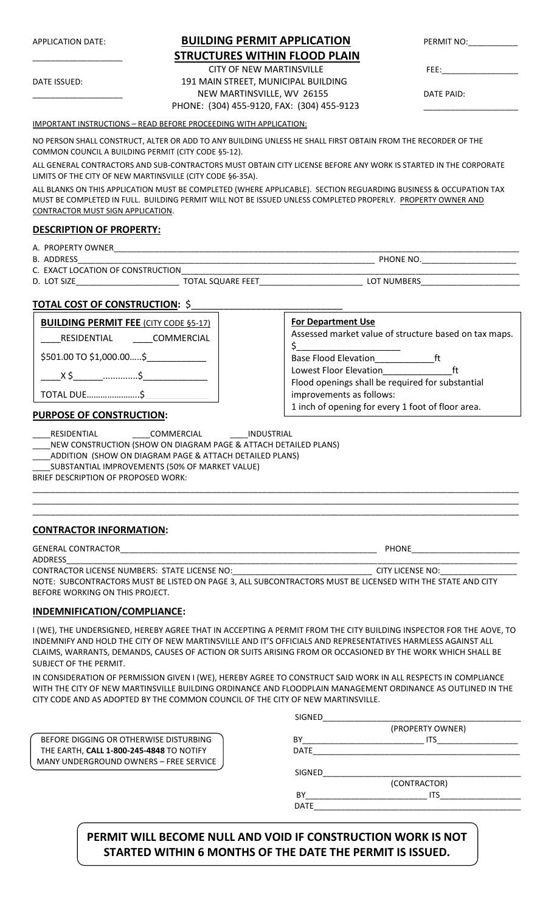| <b>STRUCTURES WITHIN FLOOD PLAIN</b><br><b>CITY OF NEW MARTINSVILLE</b><br>191 MAIN STREET, MUNICIPAL BUILDING<br>DATE ISSUED:<br>NEW MARTINSVILLE, WV 26155<br>DATE PAID:<br>PHONE: (304) 455-9120, FAX: (304) 455-9123<br><b>IMPORTANT INSTRUCTIONS - READ BEFORE PROCEEDING WITH APPLICATION:</b><br>NO PERSON SHALL CONSTRUCT, ALTER OR ADD TO ANY BUILDING UNLESS HE SHALL FIRST OBTAIN FROM THE RECORDER OF THE<br>COMMON COUNCIL A BUILDING PERMIT (CITY CODE §5-12).<br>ALL GENERAL CONTRACTORS AND SUB-CONTRACTORS MUST OBTAIN CITY LICENSE BEFORE ANY WORK IS STARTED IN THE CORPORATE<br>LIMITS OF THE CITY OF NEW MARTINSVILLE (CITY CODE §6-35A).<br>ALL BLANKS ON THIS APPLICATION MUST BE COMPLETED (WHERE APPLICABLE). SECTION REGUARDING BUSINESS & OCCUPATION TAX<br>MUST BE COMPLETED IN FULL. BUILDING PERMIT WILL NOT BE ISSUED UNLESS COMPLETED PROPERLY. PROPERTY OWNER AND<br>CONTRACTOR MUST SIGN APPLICATION.<br><b>DESCRIPTION OF PROPERTY:</b><br>B. ADDRESS<br>C. EXACT LOCATION OF CONSTRUCTION<br><u>TOTAL COST OF CONSTRUCTION: \$</u><br><b>For Department Use</b><br><b>BUILDING PERMIT FEE (CITY CODE §5-17)</b><br>Assessed market value of structure based on tax maps.<br>RESIDENTIAL COMMERCIAL<br>$\zeta$ and $\zeta$<br>$$501.00$ TO $$1,000.00$$<br>ft<br>Lowest Floor Elevation_______________<br>Flood openings shall be required for substantial<br><b>TOTAL DUE</b> \$<br>improvements as follows:<br>1 inch of opening for every 1 foot of floor area.<br><b>PURPOSE OF CONSTRUCTION:</b><br>____COMMERCIAL ______ INDUSTRIAL<br>RESIDENTIAL<br>NEW CONSTRUCTION (SHOW ON DIAGRAM PAGE & ATTACH DETAILED PLANS)<br>ADDITION (SHOW ON DIAGRAM PAGE & ATTACH DETAILED PLANS)<br>SUBSTANTIAL IMPROVEMENTS (50% OF MARKET VALUE)<br>BRIEF DESCRIPTION OF PROPOSED WORK:<br><b>CONTRACTOR INFORMATION:</b><br>ADDRESS | <b>APPLICATION DATE:</b> | <b>BUILDING PERMIT APPLICATION</b> | PERMIT NO: |
|-----------------------------------------------------------------------------------------------------------------------------------------------------------------------------------------------------------------------------------------------------------------------------------------------------------------------------------------------------------------------------------------------------------------------------------------------------------------------------------------------------------------------------------------------------------------------------------------------------------------------------------------------------------------------------------------------------------------------------------------------------------------------------------------------------------------------------------------------------------------------------------------------------------------------------------------------------------------------------------------------------------------------------------------------------------------------------------------------------------------------------------------------------------------------------------------------------------------------------------------------------------------------------------------------------------------------------------------------------------------------------------------------------------------------------------------------------------------------------------------------------------------------------------------------------------------------------------------------------------------------------------------------------------------------------------------------------------------------------------------------------------------------------------------------------------------------------------------------------------------|--------------------------|------------------------------------|------------|
|                                                                                                                                                                                                                                                                                                                                                                                                                                                                                                                                                                                                                                                                                                                                                                                                                                                                                                                                                                                                                                                                                                                                                                                                                                                                                                                                                                                                                                                                                                                                                                                                                                                                                                                                                                                                                                                                 |                          |                                    |            |
|                                                                                                                                                                                                                                                                                                                                                                                                                                                                                                                                                                                                                                                                                                                                                                                                                                                                                                                                                                                                                                                                                                                                                                                                                                                                                                                                                                                                                                                                                                                                                                                                                                                                                                                                                                                                                                                                 |                          |                                    |            |
|                                                                                                                                                                                                                                                                                                                                                                                                                                                                                                                                                                                                                                                                                                                                                                                                                                                                                                                                                                                                                                                                                                                                                                                                                                                                                                                                                                                                                                                                                                                                                                                                                                                                                                                                                                                                                                                                 |                          |                                    |            |
|                                                                                                                                                                                                                                                                                                                                                                                                                                                                                                                                                                                                                                                                                                                                                                                                                                                                                                                                                                                                                                                                                                                                                                                                                                                                                                                                                                                                                                                                                                                                                                                                                                                                                                                                                                                                                                                                 |                          |                                    |            |
|                                                                                                                                                                                                                                                                                                                                                                                                                                                                                                                                                                                                                                                                                                                                                                                                                                                                                                                                                                                                                                                                                                                                                                                                                                                                                                                                                                                                                                                                                                                                                                                                                                                                                                                                                                                                                                                                 |                          |                                    |            |
|                                                                                                                                                                                                                                                                                                                                                                                                                                                                                                                                                                                                                                                                                                                                                                                                                                                                                                                                                                                                                                                                                                                                                                                                                                                                                                                                                                                                                                                                                                                                                                                                                                                                                                                                                                                                                                                                 |                          |                                    |            |
|                                                                                                                                                                                                                                                                                                                                                                                                                                                                                                                                                                                                                                                                                                                                                                                                                                                                                                                                                                                                                                                                                                                                                                                                                                                                                                                                                                                                                                                                                                                                                                                                                                                                                                                                                                                                                                                                 |                          |                                    |            |
|                                                                                                                                                                                                                                                                                                                                                                                                                                                                                                                                                                                                                                                                                                                                                                                                                                                                                                                                                                                                                                                                                                                                                                                                                                                                                                                                                                                                                                                                                                                                                                                                                                                                                                                                                                                                                                                                 |                          |                                    |            |
|                                                                                                                                                                                                                                                                                                                                                                                                                                                                                                                                                                                                                                                                                                                                                                                                                                                                                                                                                                                                                                                                                                                                                                                                                                                                                                                                                                                                                                                                                                                                                                                                                                                                                                                                                                                                                                                                 |                          |                                    |            |
|                                                                                                                                                                                                                                                                                                                                                                                                                                                                                                                                                                                                                                                                                                                                                                                                                                                                                                                                                                                                                                                                                                                                                                                                                                                                                                                                                                                                                                                                                                                                                                                                                                                                                                                                                                                                                                                                 |                          |                                    |            |
|                                                                                                                                                                                                                                                                                                                                                                                                                                                                                                                                                                                                                                                                                                                                                                                                                                                                                                                                                                                                                                                                                                                                                                                                                                                                                                                                                                                                                                                                                                                                                                                                                                                                                                                                                                                                                                                                 |                          |                                    |            |
|                                                                                                                                                                                                                                                                                                                                                                                                                                                                                                                                                                                                                                                                                                                                                                                                                                                                                                                                                                                                                                                                                                                                                                                                                                                                                                                                                                                                                                                                                                                                                                                                                                                                                                                                                                                                                                                                 |                          |                                    |            |
|                                                                                                                                                                                                                                                                                                                                                                                                                                                                                                                                                                                                                                                                                                                                                                                                                                                                                                                                                                                                                                                                                                                                                                                                                                                                                                                                                                                                                                                                                                                                                                                                                                                                                                                                                                                                                                                                 |                          |                                    |            |
|                                                                                                                                                                                                                                                                                                                                                                                                                                                                                                                                                                                                                                                                                                                                                                                                                                                                                                                                                                                                                                                                                                                                                                                                                                                                                                                                                                                                                                                                                                                                                                                                                                                                                                                                                                                                                                                                 |                          |                                    |            |
|                                                                                                                                                                                                                                                                                                                                                                                                                                                                                                                                                                                                                                                                                                                                                                                                                                                                                                                                                                                                                                                                                                                                                                                                                                                                                                                                                                                                                                                                                                                                                                                                                                                                                                                                                                                                                                                                 |                          |                                    |            |
|                                                                                                                                                                                                                                                                                                                                                                                                                                                                                                                                                                                                                                                                                                                                                                                                                                                                                                                                                                                                                                                                                                                                                                                                                                                                                                                                                                                                                                                                                                                                                                                                                                                                                                                                                                                                                                                                 |                          |                                    |            |
|                                                                                                                                                                                                                                                                                                                                                                                                                                                                                                                                                                                                                                                                                                                                                                                                                                                                                                                                                                                                                                                                                                                                                                                                                                                                                                                                                                                                                                                                                                                                                                                                                                                                                                                                                                                                                                                                 |                          |                                    |            |
|                                                                                                                                                                                                                                                                                                                                                                                                                                                                                                                                                                                                                                                                                                                                                                                                                                                                                                                                                                                                                                                                                                                                                                                                                                                                                                                                                                                                                                                                                                                                                                                                                                                                                                                                                                                                                                                                 |                          |                                    |            |
|                                                                                                                                                                                                                                                                                                                                                                                                                                                                                                                                                                                                                                                                                                                                                                                                                                                                                                                                                                                                                                                                                                                                                                                                                                                                                                                                                                                                                                                                                                                                                                                                                                                                                                                                                                                                                                                                 |                          |                                    |            |
|                                                                                                                                                                                                                                                                                                                                                                                                                                                                                                                                                                                                                                                                                                                                                                                                                                                                                                                                                                                                                                                                                                                                                                                                                                                                                                                                                                                                                                                                                                                                                                                                                                                                                                                                                                                                                                                                 |                          |                                    |            |
|                                                                                                                                                                                                                                                                                                                                                                                                                                                                                                                                                                                                                                                                                                                                                                                                                                                                                                                                                                                                                                                                                                                                                                                                                                                                                                                                                                                                                                                                                                                                                                                                                                                                                                                                                                                                                                                                 |                          |                                    |            |
|                                                                                                                                                                                                                                                                                                                                                                                                                                                                                                                                                                                                                                                                                                                                                                                                                                                                                                                                                                                                                                                                                                                                                                                                                                                                                                                                                                                                                                                                                                                                                                                                                                                                                                                                                                                                                                                                 |                          |                                    |            |
|                                                                                                                                                                                                                                                                                                                                                                                                                                                                                                                                                                                                                                                                                                                                                                                                                                                                                                                                                                                                                                                                                                                                                                                                                                                                                                                                                                                                                                                                                                                                                                                                                                                                                                                                                                                                                                                                 |                          |                                    |            |
|                                                                                                                                                                                                                                                                                                                                                                                                                                                                                                                                                                                                                                                                                                                                                                                                                                                                                                                                                                                                                                                                                                                                                                                                                                                                                                                                                                                                                                                                                                                                                                                                                                                                                                                                                                                                                                                                 |                          |                                    |            |
|                                                                                                                                                                                                                                                                                                                                                                                                                                                                                                                                                                                                                                                                                                                                                                                                                                                                                                                                                                                                                                                                                                                                                                                                                                                                                                                                                                                                                                                                                                                                                                                                                                                                                                                                                                                                                                                                 |                          |                                    |            |
|                                                                                                                                                                                                                                                                                                                                                                                                                                                                                                                                                                                                                                                                                                                                                                                                                                                                                                                                                                                                                                                                                                                                                                                                                                                                                                                                                                                                                                                                                                                                                                                                                                                                                                                                                                                                                                                                 |                          |                                    |            |
| CONTRACTOR LICENSE NUMBERS: STATE LICENSE NO:___________________________________ CITY LICENSE NO:___________________                                                                                                                                                                                                                                                                                                                                                                                                                                                                                                                                                                                                                                                                                                                                                                                                                                                                                                                                                                                                                                                                                                                                                                                                                                                                                                                                                                                                                                                                                                                                                                                                                                                                                                                                            |                          |                                    |            |

#### **INDEMNIFICATION/COMPLIANCE:**

I (WE), THE UNDERSIGNED, HEREBY AGREE THAT IN ACCEPTING A PERMIT FROM THE CITY BUILDING INSPECTOR FOR THE AOVE, TO INDEMNIFY AND HOLD THE CITY OF NEW MARTINSVILLE AND IT'S OFFICIALS AND REPRESENTATIVES HARMLESS AGAINST ALL CLAIMS, WARRANTS, DEMANDS, CAUSES OF ACTION OR SUITS ARISING FROM OR OCCASIONED BY THE WORK WHICH SHALL BE SUBJECT OF THE PERMIT.

IN CONSIDERATION OF PERMISSION GIVEN I (WE), HEREBY AGREE TO CONSTRUCT SAID WORK IN ALL RESPECTS IN COMPLIANCE WITH THE CITY OF NEW MARTINSVILLE BUILDING ORDINANCE AND FLOODPLAIN MANAGEMENT ORDINANCE AS OUTLINED IN THE CITY CODE AND AS ADOPTED BY THE COMMON COUNCIL OF THE CITY OF NEW MARTINSVILLE.

|                                          | <b>SIGNED</b>    |  |
|------------------------------------------|------------------|--|
|                                          | (PROPERTY OWNER) |  |
| BEFORE DIGGING OR OTHERWISE DISTURBING   | BY<br><b>ITS</b> |  |
| THE EARTH, CALL 1-800-245-4848 TO NOTIFY | <b>DATE</b>      |  |
| MANY UNDERGROUND OWNERS - FREE SERVICE   |                  |  |
|                                          | <b>SIGNED</b>    |  |
|                                          | (CONTRACTOR)     |  |
|                                          | <b>ITS</b><br>BY |  |
|                                          | <b>DATE</b>      |  |
|                                          |                  |  |
|                                          |                  |  |

# **PERMIT WILL BECOME NULL AND VOID IF CONSTRUCTION WORK IS NOT STARTED WITHIN 6 MONTHS OF THE DATE THE PERMIT IS ISSUED.**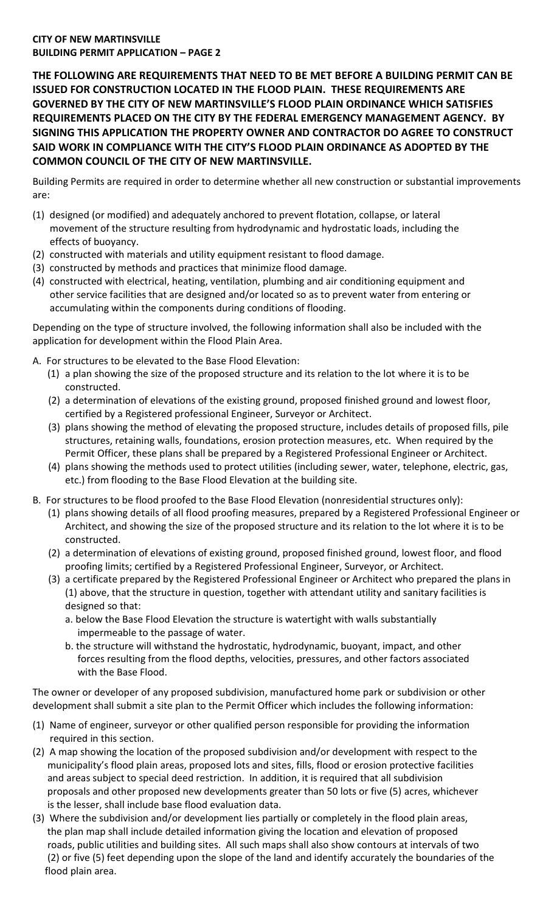## **CITY OF NEW MARTINSVILLE BUILDING PERMIT APPLICATION – PAGE 2**

**THE FOLLOWING ARE REQUIREMENTS THAT NEED TO BE MET BEFORE A BUILDING PERMIT CAN BE ISSUED FOR CONSTRUCTION LOCATED IN THE FLOOD PLAIN. THESE REQUIREMENTS ARE GOVERNED BY THE CITY OF NEW MARTINSVILLE'S FLOOD PLAIN ORDINANCE WHICH SATISFIES REQUIREMENTS PLACED ON THE CITY BY THE FEDERAL EMERGENCY MANAGEMENT AGENCY. BY SIGNING THIS APPLICATION THE PROPERTY OWNER AND CONTRACTOR DO AGREE TO CONSTRUCT SAID WORK IN COMPLIANCE WITH THE CITY'S FLOOD PLAIN ORDINANCE AS ADOPTED BY THE COMMON COUNCIL OF THE CITY OF NEW MARTINSVILLE.**

Building Permits are required in order to determine whether all new construction or substantial improvements are:

- (1) designed (or modified) and adequately anchored to prevent flotation, collapse, or lateral movement of the structure resulting from hydrodynamic and hydrostatic loads, including the effects of buoyancy.
- (2) constructed with materials and utility equipment resistant to flood damage.
- (3) constructed by methods and practices that minimize flood damage.
- (4) constructed with electrical, heating, ventilation, plumbing and air conditioning equipment and other service facilities that are designed and/or located so as to prevent water from entering or accumulating within the components during conditions of flooding.

Depending on the type of structure involved, the following information shall also be included with the application for development within the Flood Plain Area.

- A. For structures to be elevated to the Base Flood Elevation:
	- (1) a plan showing the size of the proposed structure and its relation to the lot where it is to be constructed.
	- (2) a determination of elevations of the existing ground, proposed finished ground and lowest floor, certified by a Registered professional Engineer, Surveyor or Architect.
	- (3) plans showing the method of elevating the proposed structure, includes details of proposed fills, pile structures, retaining walls, foundations, erosion protection measures, etc. When required by the Permit Officer, these plans shall be prepared by a Registered Professional Engineer or Architect.
	- (4) plans showing the methods used to protect utilities (including sewer, water, telephone, electric, gas, etc.) from flooding to the Base Flood Elevation at the building site.
- B. For structures to be flood proofed to the Base Flood Elevation (nonresidential structures only):
	- (1) plans showing details of all flood proofing measures, prepared by a Registered Professional Engineer or Architect, and showing the size of the proposed structure and its relation to the lot where it is to be constructed.
	- (2) a determination of elevations of existing ground, proposed finished ground, lowest floor, and flood proofing limits; certified by a Registered Professional Engineer, Surveyor, or Architect.
	- (3) a certificate prepared by the Registered Professional Engineer or Architect who prepared the plans in (1) above, that the structure in question, together with attendant utility and sanitary facilities is designed so that:
		- a. below the Base Flood Elevation the structure is watertight with walls substantially impermeable to the passage of water.
		- b. the structure will withstand the hydrostatic, hydrodynamic, buoyant, impact, and other forces resulting from the flood depths, velocities, pressures, and other factors associated with the Base Flood.

The owner or developer of any proposed subdivision, manufactured home park or subdivision or other development shall submit a site plan to the Permit Officer which includes the following information:

- (1) Name of engineer, surveyor or other qualified person responsible for providing the information required in this section.
- (2) A map showing the location of the proposed subdivision and/or development with respect to the municipality's flood plain areas, proposed lots and sites, fills, flood or erosion protective facilities and areas subject to special deed restriction. In addition, it is required that all subdivision proposals and other proposed new developments greater than 50 lots or five (5) acres, whichever is the lesser, shall include base flood evaluation data.
- (3) Where the subdivision and/or development lies partially or completely in the flood plain areas, the plan map shall include detailed information giving the location and elevation of proposed roads, public utilities and building sites. All such maps shall also show contours at intervals of two (2) or five (5) feet depending upon the slope of the land and identify accurately the boundaries of the flood plain area.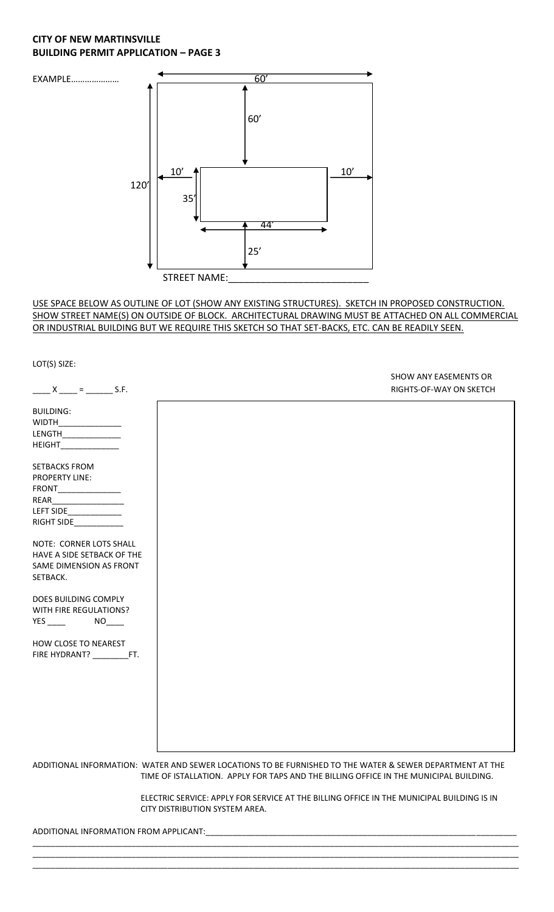## **CITY OF NEW MARTINSVILLE BUILDING PERMIT APPLICATION – PAGE 3**



#### USE SPACE BELOW AS OUTLINE OF LOT (SHOW ANY EXISTING STRUCTURES). SKETCH IN PROPOSED CONSTRUCTION. SHOW STREET NAME(S) ON OUTSIDE OF BLOCK. ARCHITECTURAL DRAWING MUST BE ATTACHED ON ALL COMMERCIAL OR INDUSTRIAL BUILDING BUT WE REQUIRE THIS SKETCH SO THAT SET-BACKS, ETC. CAN BE READILY SEEN.

LOT(S) SIZE: SHOW ANY EASEMENTS OR  $X_{\text{max}} = \frac{1}{2}$  S.F. S.F. BUILDING: WIDTH\_ LENGTH\_\_\_\_\_\_\_\_\_\_\_\_\_ HEIGHT\_\_\_\_\_\_\_\_\_\_\_\_\_ SETBACKS FROM PROPERTY LINE: FRONT\_\_\_\_\_\_\_\_\_\_\_\_\_\_ REAR\_\_\_\_\_\_\_\_\_\_\_\_\_\_\_\_ LEFT SIDE\_\_\_\_\_\_\_\_\_\_\_\_ RIGHT SIDE\_\_\_\_\_\_\_\_\_\_\_ NOTE: CORNER LOTS SHALL HAVE A SIDE SETBACK OF THE SAME DIMENSION AS FRONT SETBACK. DOES BUILDING COMPLY WITH FIRE REGULATIONS? YES \_\_\_\_\_ NO\_\_\_ HOW CLOSE TO NEAREST FIRE HYDRANT? \_\_\_\_\_\_\_\_\_\_\_FT. ADDITIONAL INFORMATION: WATER AND SEWER LOCATIONS TO BE FURNISHED TO THE WATER & SEWER DEPARTMENT AT THE TIME OF ISTALLATION. APPLY FOR TAPS AND THE BILLING OFFICE IN THE MUNICIPAL BUILDING.

> ELECTRIC SERVICE: APPLY FOR SERVICE AT THE BILLING OFFICE IN THE MUNICIPAL BUILDING IS IN CITY DISTRIBUTION SYSTEM AREA.

\_\_\_\_\_\_\_\_\_\_\_\_\_\_\_\_\_\_\_\_\_\_\_\_\_\_\_\_\_\_\_\_\_\_\_\_\_\_\_\_\_\_\_\_\_\_\_\_\_\_\_\_\_\_\_\_\_\_\_\_\_\_\_\_\_\_\_\_\_\_\_\_\_\_\_\_\_\_\_\_\_\_\_\_\_\_\_\_\_\_\_\_\_\_\_\_\_\_\_\_\_\_\_\_\_\_\_\_ \_\_\_\_\_\_\_\_\_\_\_\_\_\_\_\_\_\_\_\_\_\_\_\_\_\_\_\_\_\_\_\_\_\_\_\_\_\_\_\_\_\_\_\_\_\_\_\_\_\_\_\_\_\_\_\_\_\_\_\_\_\_\_\_\_\_\_\_\_\_\_\_\_\_\_\_\_\_\_\_\_\_\_\_\_\_\_\_\_\_\_\_\_\_\_\_\_\_\_\_\_\_\_\_\_\_\_\_ \_\_\_\_\_\_\_\_\_\_\_\_\_\_\_\_\_\_\_\_\_\_\_\_\_\_\_\_\_\_\_\_\_\_\_\_\_\_\_\_\_\_\_\_\_\_\_\_\_\_\_\_\_\_\_\_\_\_\_\_\_\_\_\_\_\_\_\_\_\_\_\_\_\_\_\_\_\_\_\_\_\_\_\_\_\_\_\_\_\_\_\_\_\_\_\_\_\_\_\_\_\_\_\_\_\_\_\_

ADDITIONAL INFORMATION FROM APPLICANT: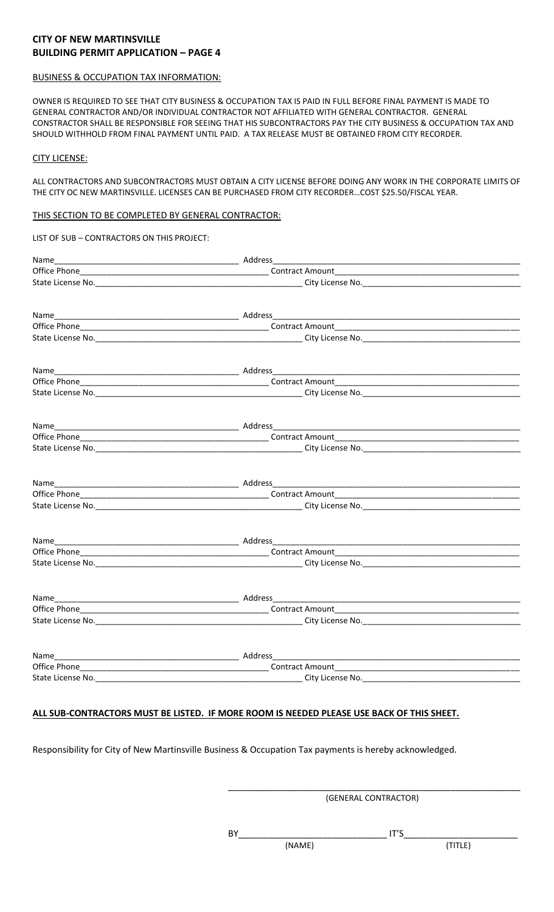## **CITY OF NEW MARTINSVILLE BUILDING PERMIT APPLICATION – PAGE 4**

#### BUSINESS & OCCUPATION TAX INFORMATION:

OWNER IS REQUIRED TO SEE THAT CITY BUSINESS & OCCUPATION TAX IS PAID IN FULL BEFORE FINAL PAYMENT IS MADE TO GENERAL CONTRACTOR AND/OR INDIVIDUAL CONTRACTOR NOT AFFILIATED WITH GENERAL CONTRACTOR. GENERAL CONSTRACTOR SHALL BE RESPONSIBLE FOR SEEING THAT HIS SUBCONTRACTORS PAY THE CITY BUSINESS & OCCUPATION TAX AND SHOULD WITHHOLD FROM FINAL PAYMENT UNTIL PAID. A TAX RELEASE MUST BE OBTAINED FROM CITY RECORDER.

#### CITY LICENSE:

ALL CONTRACTORS AND SUBCONTRACTORS MUST OBTAIN A CITY LICENSE BEFORE DOING ANY WORK IN THE CORPORATE LIMITS OF THE CITY OC NEW MARTINSVILLE. LICENSES CAN BE PURCHASED FROM CITY RECORDER…COST \$25.50/FISCAL YEAR.

#### THIS SECTION TO BE COMPLETED BY GENERAL CONTRACTOR:

| LIST OF SUB - CONTRACTORS ON THIS PROJECT: |                                                                                                                |  |
|--------------------------------------------|----------------------------------------------------------------------------------------------------------------|--|
|                                            |                                                                                                                |  |
|                                            |                                                                                                                |  |
|                                            | State License No. 1990. The Contract of City License No. 1990. The City License No. 2004. The City License No. |  |
|                                            |                                                                                                                |  |
|                                            |                                                                                                                |  |
|                                            |                                                                                                                |  |
|                                            |                                                                                                                |  |
|                                            |                                                                                                                |  |
|                                            |                                                                                                                |  |
|                                            |                                                                                                                |  |
|                                            |                                                                                                                |  |
|                                            |                                                                                                                |  |
|                                            |                                                                                                                |  |
|                                            |                                                                                                                |  |
|                                            |                                                                                                                |  |
|                                            |                                                                                                                |  |
|                                            |                                                                                                                |  |
|                                            |                                                                                                                |  |
|                                            |                                                                                                                |  |
|                                            |                                                                                                                |  |
|                                            |                                                                                                                |  |
|                                            |                                                                                                                |  |
|                                            |                                                                                                                |  |
|                                            |                                                                                                                |  |

#### **ALL SUB-CONTRACTORS MUST BE LISTED. IF MORE ROOM IS NEEDED PLEASE USE BACK OF THIS SHEET.**

Responsibility for City of New Martinsville Business & Occupation Tax payments is hereby acknowledged.

\_\_\_\_\_\_\_\_\_\_\_\_\_\_\_\_\_\_\_\_\_\_\_\_\_\_\_\_\_\_\_\_\_\_\_\_\_\_\_\_\_\_\_\_\_\_\_\_\_\_\_\_\_\_\_\_\_\_\_ (GENERAL CONTRACTOR)

BY\_\_\_\_\_\_\_\_\_\_\_\_\_\_\_\_\_\_\_\_\_\_\_\_\_\_\_\_\_\_ IT'S\_\_\_\_\_\_\_\_\_\_\_\_\_\_\_\_\_\_\_\_\_\_\_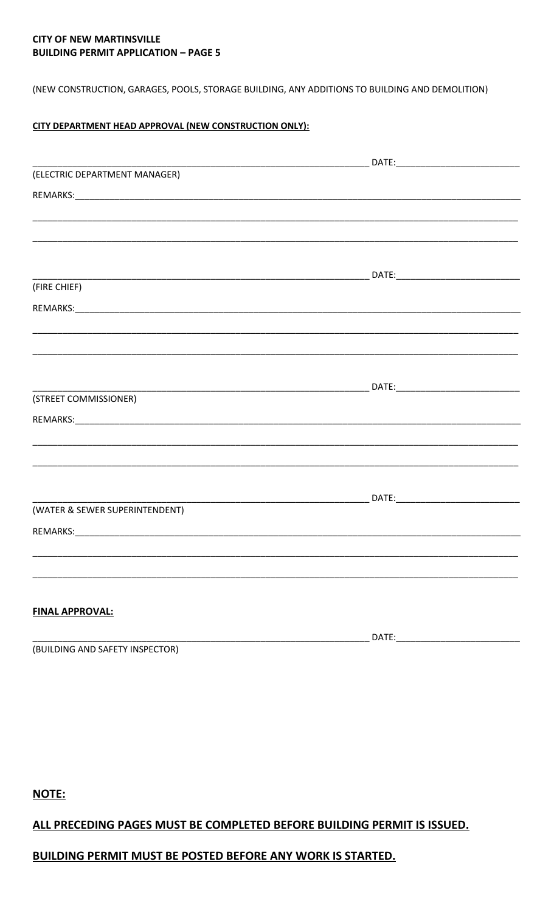## **CITY OF NEW MARTINSVILLE BUILDING PERMIT APPLICATION - PAGE 5**

(NEW CONSTRUCTION, GARAGES, POOLS, STORAGE BUILDING, ANY ADDITIONS TO BUILDING AND DEMOLITION)

## CITY DEPARTMENT HEAD APPROVAL (NEW CONSTRUCTION ONLY):

| (ELECTRIC DEPARTMENT MANAGER)  |                                                                                   |
|--------------------------------|-----------------------------------------------------------------------------------|
|                                |                                                                                   |
|                                |                                                                                   |
|                                |                                                                                   |
|                                |                                                                                   |
|                                |                                                                                   |
| (FIRE CHIEF)                   |                                                                                   |
|                                |                                                                                   |
|                                |                                                                                   |
|                                |                                                                                   |
|                                |                                                                                   |
|                                |                                                                                   |
| (STREET COMMISSIONER)          |                                                                                   |
|                                |                                                                                   |
|                                |                                                                                   |
|                                | <u>,这就是一个人的人,我们就是一个人的人,我们就是一个人的人,我们就是一个人的人,我们就是一个人的人,我们就是一个人的人,我们就是一个人的人,我们就是</u> |
|                                |                                                                                   |
|                                |                                                                                   |
| (WATER & SEWER SUPERINTENDENT) |                                                                                   |
|                                |                                                                                   |
|                                |                                                                                   |
|                                |                                                                                   |
|                                |                                                                                   |
|                                |                                                                                   |
| <b>FINAL APPROVAL:</b>         |                                                                                   |
|                                | DATF                                                                              |

(BUILDING AND SAFETY INSPECTOR)

NOTE:

# ALL PRECEDING PAGES MUST BE COMPLETED BEFORE BUILDING PERMIT IS ISSUED.

# **BUILDING PERMIT MUST BE POSTED BEFORE ANY WORK IS STARTED.**